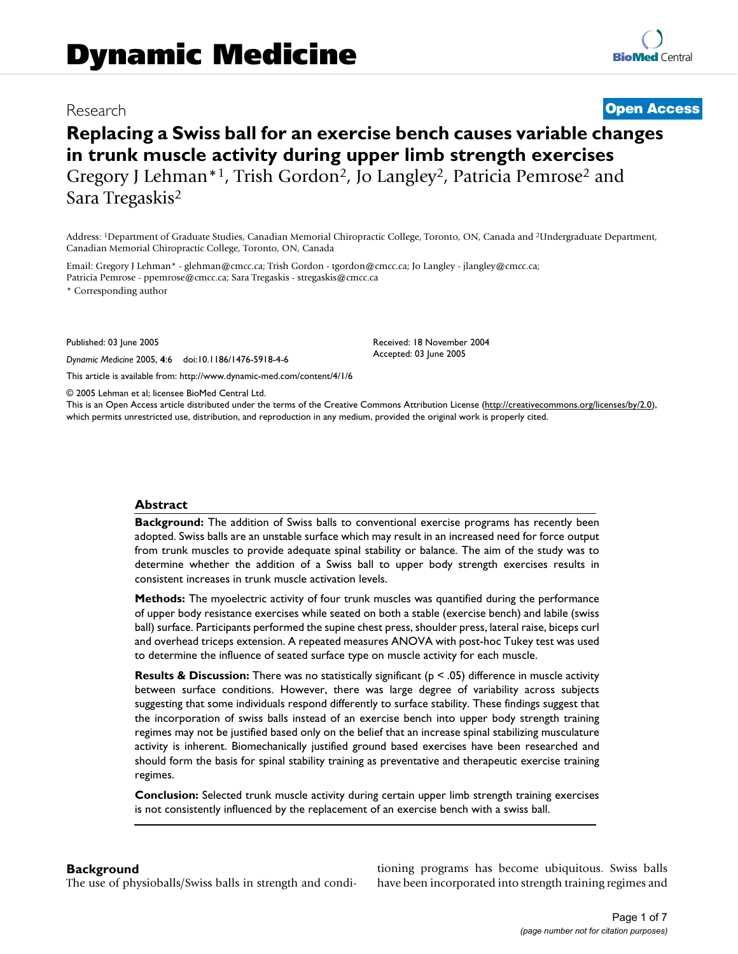## Research **[Open Access](http://www.biomedcentral.com/info/about/charter/)**

# **Replacing a Swiss ball for an exercise bench causes variable changes in trunk muscle activity during upper limb strength exercises** Gregory J Lehman\*<sup>1</sup>, Trish Gordon<sup>2</sup>, Jo Langley<sup>2</sup>, Patricia Pemrose<sup>2</sup> and Sara Tregaskis2

Address: 1Department of Graduate Studies, Canadian Memorial Chiropractic College, Toronto, ON, Canada and 2Undergraduate Department, Canadian Memorial Chiropractic College, Toronto, ON, Canada

Email: Gregory J Lehman\* - glehman@cmcc.ca; Trish Gordon - tgordon@cmcc.ca; Jo Langley - jlangley@cmcc.ca; Patricia Pemrose - ppemrose@cmcc.ca; Sara Tregaskis - stregaskis@cmcc.ca

\* Corresponding author

Published: 03 June 2005

*Dynamic Medicine* 2005, **4**:6 doi:10.1186/1476-5918-4-6

[This article is available from: http://www.dynamic-med.com/content/4/1/6](http://www.dynamic-med.com/content/4/1/6)

© 2005 Lehman et al; licensee BioMed Central Ltd.

This is an Open Access article distributed under the terms of the Creative Commons Attribution License [\(http://creativecommons.org/licenses/by/2.0\)](http://creativecommons.org/licenses/by/2.0), which permits unrestricted use, distribution, and reproduction in any medium, provided the original work is properly cited.

Received: 18 November 2004 Accepted: 03 June 2005

#### **Abstract**

**Background:** The addition of Swiss balls to conventional exercise programs has recently been adopted. Swiss balls are an unstable surface which may result in an increased need for force output from trunk muscles to provide adequate spinal stability or balance. The aim of the study was to determine whether the addition of a Swiss ball to upper body strength exercises results in consistent increases in trunk muscle activation levels.

**Methods:** The myoelectric activity of four trunk muscles was quantified during the performance of upper body resistance exercises while seated on both a stable (exercise bench) and labile (swiss ball) surface. Participants performed the supine chest press, shoulder press, lateral raise, biceps curl and overhead triceps extension. A repeated measures ANOVA with post-hoc Tukey test was used to determine the influence of seated surface type on muscle activity for each muscle.

**Results & Discussion:** There was no statistically significant ( $p < .05$ ) difference in muscle activity between surface conditions. However, there was large degree of variability across subjects suggesting that some individuals respond differently to surface stability. These findings suggest that the incorporation of swiss balls instead of an exercise bench into upper body strength training regimes may not be justified based only on the belief that an increase spinal stabilizing musculature activity is inherent. Biomechanically justified ground based exercises have been researched and should form the basis for spinal stability training as preventative and therapeutic exercise training regimes.

**Conclusion:** Selected trunk muscle activity during certain upper limb strength training exercises is not consistently influenced by the replacement of an exercise bench with a swiss ball.

#### **Background**

The use of physioballs/Swiss balls in strength and condi-

tioning programs has become ubiquitous. Swiss balls have been incorporated into strength training regimes and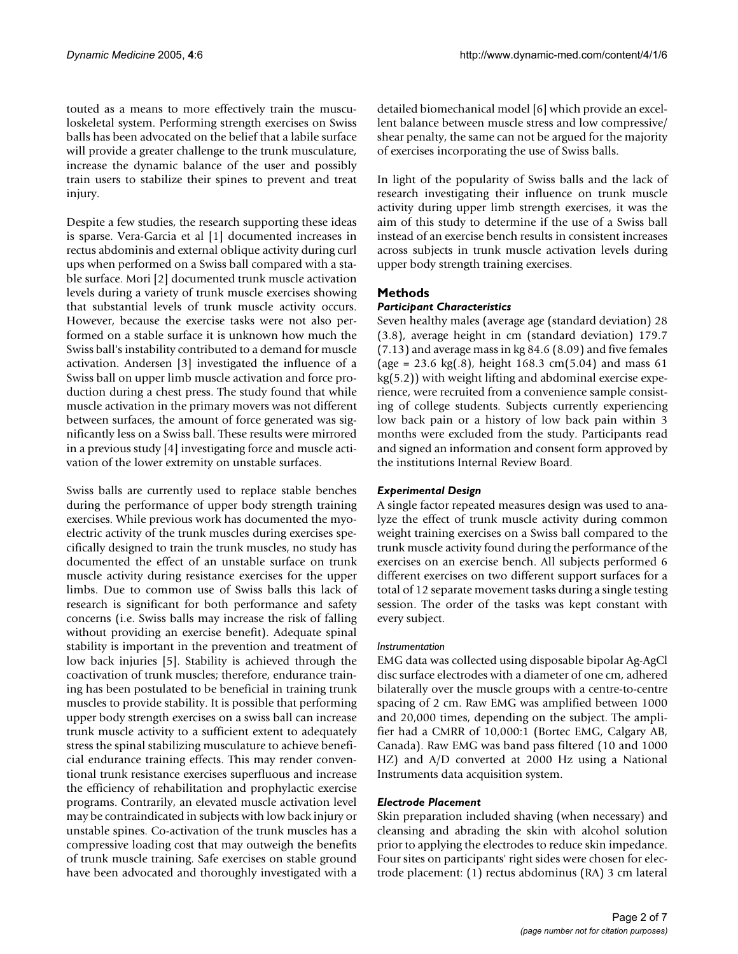touted as a means to more effectively train the musculoskeletal system. Performing strength exercises on Swiss balls has been advocated on the belief that a labile surface will provide a greater challenge to the trunk musculature, increase the dynamic balance of the user and possibly train users to stabilize their spines to prevent and treat injury.

Despite a few studies, the research supporting these ideas is sparse. Vera-Garcia et al [1] documented increases in rectus abdominis and external oblique activity during curl ups when performed on a Swiss ball compared with a stable surface. Mori [2] documented trunk muscle activation levels during a variety of trunk muscle exercises showing that substantial levels of trunk muscle activity occurs. However, because the exercise tasks were not also performed on a stable surface it is unknown how much the Swiss ball's instability contributed to a demand for muscle activation. Andersen [3] investigated the influence of a Swiss ball on upper limb muscle activation and force production during a chest press. The study found that while muscle activation in the primary movers was not different between surfaces, the amount of force generated was significantly less on a Swiss ball. These results were mirrored in a previous study [4] investigating force and muscle activation of the lower extremity on unstable surfaces.

Swiss balls are currently used to replace stable benches during the performance of upper body strength training exercises. While previous work has documented the myoelectric activity of the trunk muscles during exercises specifically designed to train the trunk muscles, no study has documented the effect of an unstable surface on trunk muscle activity during resistance exercises for the upper limbs. Due to common use of Swiss balls this lack of research is significant for both performance and safety concerns (i.e. Swiss balls may increase the risk of falling without providing an exercise benefit). Adequate spinal stability is important in the prevention and treatment of low back injuries [5]. Stability is achieved through the coactivation of trunk muscles; therefore, endurance training has been postulated to be beneficial in training trunk muscles to provide stability. It is possible that performing upper body strength exercises on a swiss ball can increase trunk muscle activity to a sufficient extent to adequately stress the spinal stabilizing musculature to achieve beneficial endurance training effects. This may render conventional trunk resistance exercises superfluous and increase the efficiency of rehabilitation and prophylactic exercise programs. Contrarily, an elevated muscle activation level may be contraindicated in subjects with low back injury or unstable spines. Co-activation of the trunk muscles has a compressive loading cost that may outweigh the benefits of trunk muscle training. Safe exercises on stable ground have been advocated and thoroughly investigated with a

detailed biomechanical model [6] which provide an excellent balance between muscle stress and low compressive/ shear penalty, the same can not be argued for the majority of exercises incorporating the use of Swiss balls.

In light of the popularity of Swiss balls and the lack of research investigating their influence on trunk muscle activity during upper limb strength exercises, it was the aim of this study to determine if the use of a Swiss ball instead of an exercise bench results in consistent increases across subjects in trunk muscle activation levels during upper body strength training exercises.

#### **Methods**

#### *Participant Characteristics*

Seven healthy males (average age (standard deviation) 28 (3.8), average height in cm (standard deviation) 179.7 (7.13) and average mass in kg 84.6 (8.09) and five females (age = 23.6 kg(.8), height 168.3 cm(5.04) and mass 61 kg(5.2)) with weight lifting and abdominal exercise experience, were recruited from a convenience sample consisting of college students. Subjects currently experiencing low back pain or a history of low back pain within 3 months were excluded from the study. Participants read and signed an information and consent form approved by the institutions Internal Review Board.

#### *Experimental Design*

A single factor repeated measures design was used to analyze the effect of trunk muscle activity during common weight training exercises on a Swiss ball compared to the trunk muscle activity found during the performance of the exercises on an exercise bench. All subjects performed 6 different exercises on two different support surfaces for a total of 12 separate movement tasks during a single testing session. The order of the tasks was kept constant with every subject.

#### *Instrumentation*

EMG data was collected using disposable bipolar Ag-AgCl disc surface electrodes with a diameter of one cm, adhered bilaterally over the muscle groups with a centre-to-centre spacing of 2 cm. Raw EMG was amplified between 1000 and 20,000 times, depending on the subject. The amplifier had a CMRR of 10,000:1 (Bortec EMG, Calgary AB, Canada). Raw EMG was band pass filtered (10 and 1000 HZ) and A/D converted at 2000 Hz using a National Instruments data acquisition system.

#### *Electrode Placement*

Skin preparation included shaving (when necessary) and cleansing and abrading the skin with alcohol solution prior to applying the electrodes to reduce skin impedance. Four sites on participants' right sides were chosen for electrode placement: (1) rectus abdominus (RA) 3 cm lateral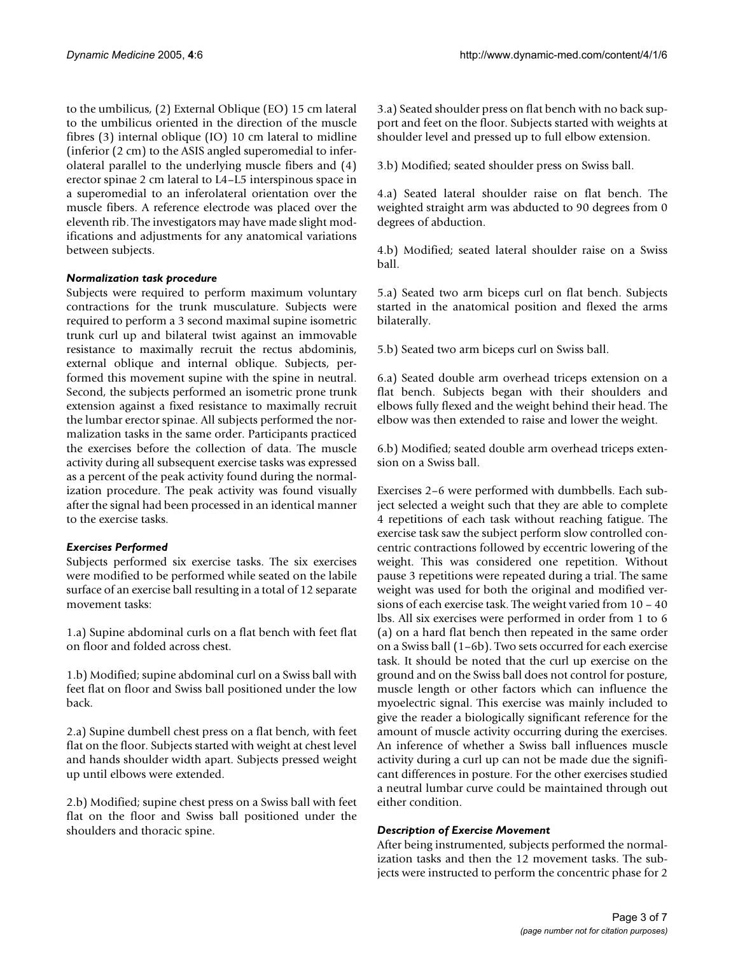to the umbilicus, (2) External Oblique (EO) 15 cm lateral to the umbilicus oriented in the direction of the muscle fibres (3) internal oblique (IO) 10 cm lateral to midline (inferior (2 cm) to the ASIS angled superomedial to inferolateral parallel to the underlying muscle fibers and (4) erector spinae 2 cm lateral to L4–L5 interspinous space in a superomedial to an inferolateral orientation over the muscle fibers. A reference electrode was placed over the eleventh rib. The investigators may have made slight modifications and adjustments for any anatomical variations between subjects.

#### *Normalization task procedure*

Subjects were required to perform maximum voluntary contractions for the trunk musculature. Subjects were required to perform a 3 second maximal supine isometric trunk curl up and bilateral twist against an immovable resistance to maximally recruit the rectus abdominis, external oblique and internal oblique. Subjects, performed this movement supine with the spine in neutral. Second, the subjects performed an isometric prone trunk extension against a fixed resistance to maximally recruit the lumbar erector spinae. All subjects performed the normalization tasks in the same order. Participants practiced the exercises before the collection of data. The muscle activity during all subsequent exercise tasks was expressed as a percent of the peak activity found during the normalization procedure. The peak activity was found visually after the signal had been processed in an identical manner to the exercise tasks.

#### *Exercises Performed*

Subjects performed six exercise tasks. The six exercises were modified to be performed while seated on the labile surface of an exercise ball resulting in a total of 12 separate movement tasks:

1.a) Supine abdominal curls on a flat bench with feet flat on floor and folded across chest.

1.b) Modified; supine abdominal curl on a Swiss ball with feet flat on floor and Swiss ball positioned under the low back.

2.a) Supine dumbell chest press on a flat bench, with feet flat on the floor. Subjects started with weight at chest level and hands shoulder width apart. Subjects pressed weight up until elbows were extended.

2.b) Modified; supine chest press on a Swiss ball with feet flat on the floor and Swiss ball positioned under the shoulders and thoracic spine.

3.a) Seated shoulder press on flat bench with no back support and feet on the floor. Subjects started with weights at shoulder level and pressed up to full elbow extension.

3.b) Modified; seated shoulder press on Swiss ball.

4.a) Seated lateral shoulder raise on flat bench. The weighted straight arm was abducted to 90 degrees from 0 degrees of abduction.

4.b) Modified; seated lateral shoulder raise on a Swiss ball.

5.a) Seated two arm biceps curl on flat bench. Subjects started in the anatomical position and flexed the arms bilaterally.

5.b) Seated two arm biceps curl on Swiss ball.

6.a) Seated double arm overhead triceps extension on a flat bench. Subjects began with their shoulders and elbows fully flexed and the weight behind their head. The elbow was then extended to raise and lower the weight.

6.b) Modified; seated double arm overhead triceps extension on a Swiss ball.

Exercises 2–6 were performed with dumbbells. Each subject selected a weight such that they are able to complete 4 repetitions of each task without reaching fatigue. The exercise task saw the subject perform slow controlled concentric contractions followed by eccentric lowering of the weight. This was considered one repetition. Without pause 3 repetitions were repeated during a trial. The same weight was used for both the original and modified versions of each exercise task. The weight varied from 10 – 40 lbs. All six exercises were performed in order from 1 to 6 (a) on a hard flat bench then repeated in the same order on a Swiss ball (1–6b). Two sets occurred for each exercise task. It should be noted that the curl up exercise on the ground and on the Swiss ball does not control for posture, muscle length or other factors which can influence the myoelectric signal. This exercise was mainly included to give the reader a biologically significant reference for the amount of muscle activity occurring during the exercises. An inference of whether a Swiss ball influences muscle activity during a curl up can not be made due the significant differences in posture. For the other exercises studied a neutral lumbar curve could be maintained through out either condition.

#### *Description of Exercise Movement*

After being instrumented, subjects performed the normalization tasks and then the 12 movement tasks. The subjects were instructed to perform the concentric phase for 2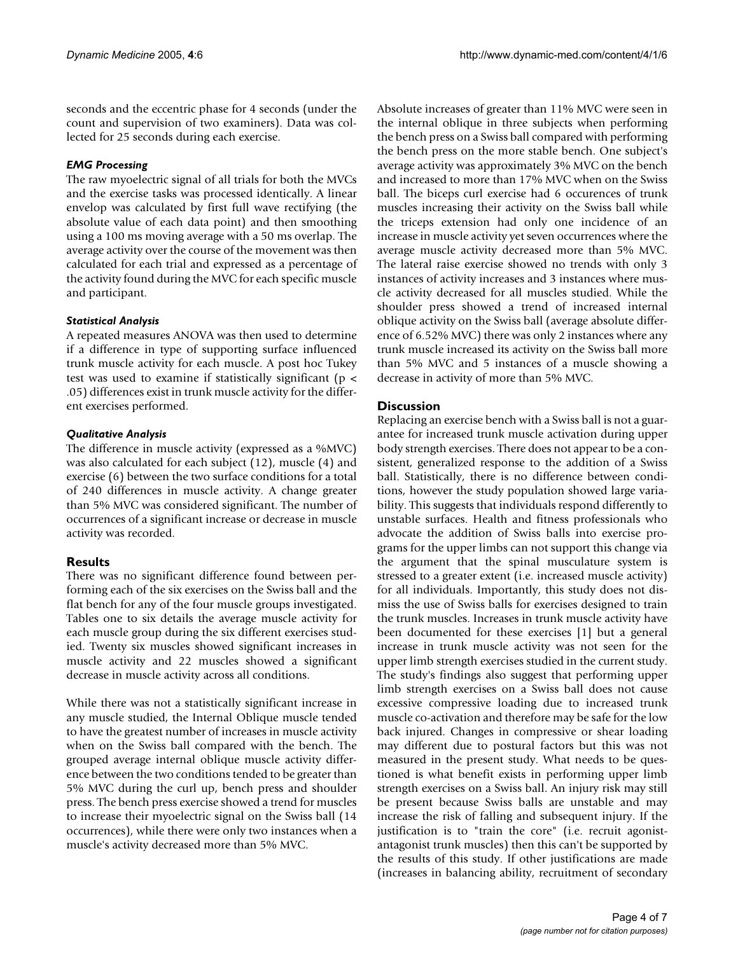seconds and the eccentric phase for 4 seconds (under the count and supervision of two examiners). Data was collected for 25 seconds during each exercise.

#### *EMG Processing*

The raw myoelectric signal of all trials for both the MVCs and the exercise tasks was processed identically. A linear envelop was calculated by first full wave rectifying (the absolute value of each data point) and then smoothing using a 100 ms moving average with a 50 ms overlap. The average activity over the course of the movement was then calculated for each trial and expressed as a percentage of the activity found during the MVC for each specific muscle and participant.

#### *Statistical Analysis*

A repeated measures ANOVA was then used to determine if a difference in type of supporting surface influenced trunk muscle activity for each muscle. A post hoc Tukey test was used to examine if statistically significant ( $p <$ .05) differences exist in trunk muscle activity for the different exercises performed.

#### *Qualitative Analysis*

The difference in muscle activity (expressed as a %MVC) was also calculated for each subject (12), muscle (4) and exercise (6) between the two surface conditions for a total of 240 differences in muscle activity. A change greater than 5% MVC was considered significant. The number of occurrences of a significant increase or decrease in muscle activity was recorded.

### **Results**

There was no significant difference found between performing each of the six exercises on the Swiss ball and the flat bench for any of the four muscle groups investigated. Tables one to six details the average muscle activity for each muscle group during the six different exercises studied. Twenty six muscles showed significant increases in muscle activity and 22 muscles showed a significant decrease in muscle activity across all conditions.

While there was not a statistically significant increase in any muscle studied, the Internal Oblique muscle tended to have the greatest number of increases in muscle activity when on the Swiss ball compared with the bench. The grouped average internal oblique muscle activity difference between the two conditions tended to be greater than 5% MVC during the curl up, bench press and shoulder press. The bench press exercise showed a trend for muscles to increase their myoelectric signal on the Swiss ball (14 occurrences), while there were only two instances when a muscle's activity decreased more than 5% MVC.

Absolute increases of greater than 11% MVC were seen in the internal oblique in three subjects when performing the bench press on a Swiss ball compared with performing the bench press on the more stable bench. One subject's average activity was approximately 3% MVC on the bench and increased to more than 17% MVC when on the Swiss ball. The biceps curl exercise had 6 occurences of trunk muscles increasing their activity on the Swiss ball while the triceps extension had only one incidence of an increase in muscle activity yet seven occurrences where the average muscle activity decreased more than 5% MVC. The lateral raise exercise showed no trends with only 3 instances of activity increases and 3 instances where muscle activity decreased for all muscles studied. While the shoulder press showed a trend of increased internal oblique activity on the Swiss ball (average absolute difference of 6.52% MVC) there was only 2 instances where any trunk muscle increased its activity on the Swiss ball more than 5% MVC and 5 instances of a muscle showing a decrease in activity of more than 5% MVC.

### **Discussion**

Replacing an exercise bench with a Swiss ball is not a guarantee for increased trunk muscle activation during upper body strength exercises. There does not appear to be a consistent, generalized response to the addition of a Swiss ball. Statistically, there is no difference between conditions, however the study population showed large variability. This suggests that individuals respond differently to unstable surfaces. Health and fitness professionals who advocate the addition of Swiss balls into exercise programs for the upper limbs can not support this change via the argument that the spinal musculature system is stressed to a greater extent (i.e. increased muscle activity) for all individuals. Importantly, this study does not dismiss the use of Swiss balls for exercises designed to train the trunk muscles. Increases in trunk muscle activity have been documented for these exercises [1] but a general increase in trunk muscle activity was not seen for the upper limb strength exercises studied in the current study. The study's findings also suggest that performing upper limb strength exercises on a Swiss ball does not cause excessive compressive loading due to increased trunk muscle co-activation and therefore may be safe for the low back injured. Changes in compressive or shear loading may different due to postural factors but this was not measured in the present study. What needs to be questioned is what benefit exists in performing upper limb strength exercises on a Swiss ball. An injury risk may still be present because Swiss balls are unstable and may increase the risk of falling and subsequent injury. If the justification is to "train the core" (i.e. recruit agonistantagonist trunk muscles) then this can't be supported by the results of this study. If other justifications are made (increases in balancing ability, recruitment of secondary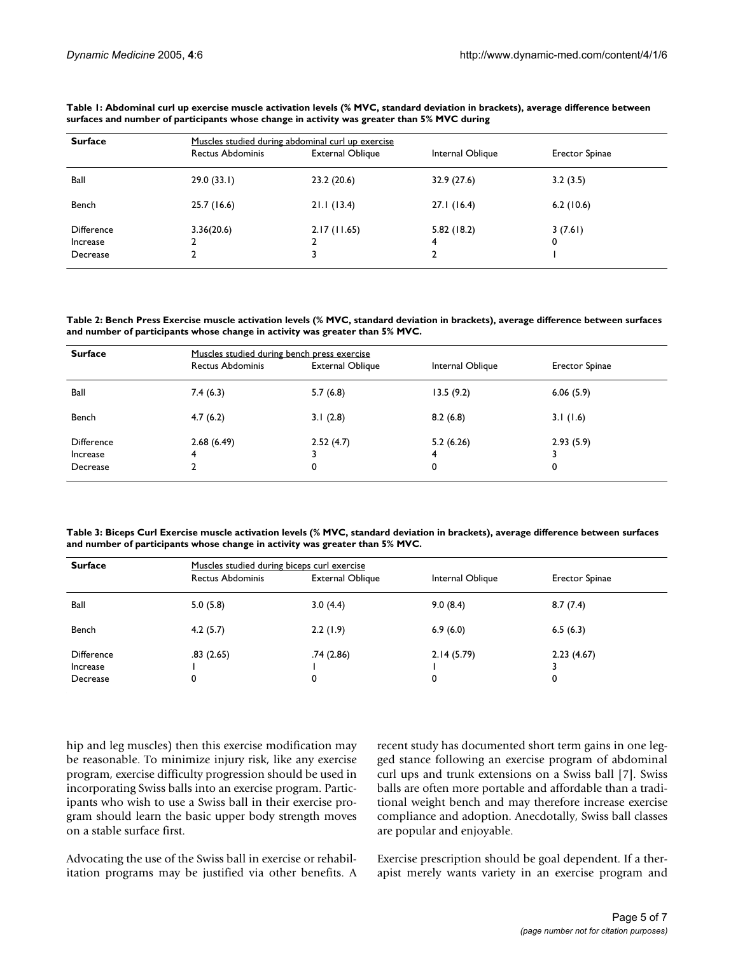| <b>Surface</b> | Muscles studied during abdominal curl up exercise |                         |                  |                       |  |
|----------------|---------------------------------------------------|-------------------------|------------------|-----------------------|--|
|                | <b>Rectus Abdominis</b>                           | <b>External Oblique</b> | Internal Oblique | <b>Erector Spinae</b> |  |
| Ball           | 29.0(33.1)                                        | 23.2(20.6)              | 32.9 (27.6)      | 3.2(3.5)              |  |
| Bench          | 25.7(16.6)                                        | 21.1(13.4)              | 27.1(16.4)       | 6.2(10.6)             |  |
| Difference     | 3.36(20.6)                                        | 2.17(11.65)             | 5.82(18.2)       | 3(7.61)               |  |
| Increase       |                                                   | ົ                       | 4                | 0                     |  |
| Decrease       |                                                   | 3                       |                  |                       |  |

**Table 1: Abdominal curl up exercise muscle activation levels (% MVC, standard deviation in brackets), average difference between surfaces and number of participants whose change in activity was greater than 5% MVC during**

**Table 2: Bench Press Exercise muscle activation levels (% MVC, standard deviation in brackets), average difference between surfaces and number of participants whose change in activity was greater than 5% MVC.**

| <b>Surface</b>                            | Muscles studied during bench press exercise |                         |                     |                       |
|-------------------------------------------|---------------------------------------------|-------------------------|---------------------|-----------------------|
|                                           | <b>Rectus Abdominis</b>                     | <b>External Oblique</b> | Internal Oblique    | <b>Erector Spinae</b> |
| Ball                                      | 7.4(6.3)                                    | 5.7(6.8)                | 13.5(9.2)           | 6.06(5.9)             |
| Bench                                     | 4.7(6.2)                                    | 3.1(2.8)                | 8.2(6.8)            | 3.1(1.6)              |
| <b>Difference</b><br>Increase<br>Decrease | 2.68(6.49)<br>4                             | 2.52(4.7)<br>0          | 5.2(6.26)<br>4<br>0 | 2.93(5.9)<br>0        |

**Table 3: Biceps Curl Exercise muscle activation levels (% MVC, standard deviation in brackets), average difference between surfaces and number of participants whose change in activity was greater than 5% MVC.**

| <b>Surface</b>                            | Muscles studied during biceps curl exercise |                         |                  |                 |
|-------------------------------------------|---------------------------------------------|-------------------------|------------------|-----------------|
|                                           | <b>Rectus Abdominis</b>                     | <b>External Oblique</b> | Internal Oblique | Erector Spinae  |
| Ball                                      | 5.0(5.8)                                    | 3.0(4.4)                | 9.0(8.4)         | 8.7(7.4)        |
| Bench                                     | 4.2(5.7)                                    | 2.2(1.9)                | 6.9(6.0)         | 6.5(6.3)        |
| <b>Difference</b><br>Increase<br>Decrease | .83(2.65)<br>0                              | .74(2.86)<br>0          | 2.14(5.79)<br>0  | 2.23(4.67)<br>0 |

hip and leg muscles) then this exercise modification may be reasonable. To minimize injury risk, like any exercise program, exercise difficulty progression should be used in incorporating Swiss balls into an exercise program. Participants who wish to use a Swiss ball in their exercise program should learn the basic upper body strength moves on a stable surface first.

Advocating the use of the Swiss ball in exercise or rehabilitation programs may be justified via other benefits. A recent study has documented short term gains in one legged stance following an exercise program of abdominal curl ups and trunk extensions on a Swiss ball [7]. Swiss balls are often more portable and affordable than a traditional weight bench and may therefore increase exercise compliance and adoption. Anecdotally, Swiss ball classes are popular and enjoyable.

Exercise prescription should be goal dependent. If a therapist merely wants variety in an exercise program and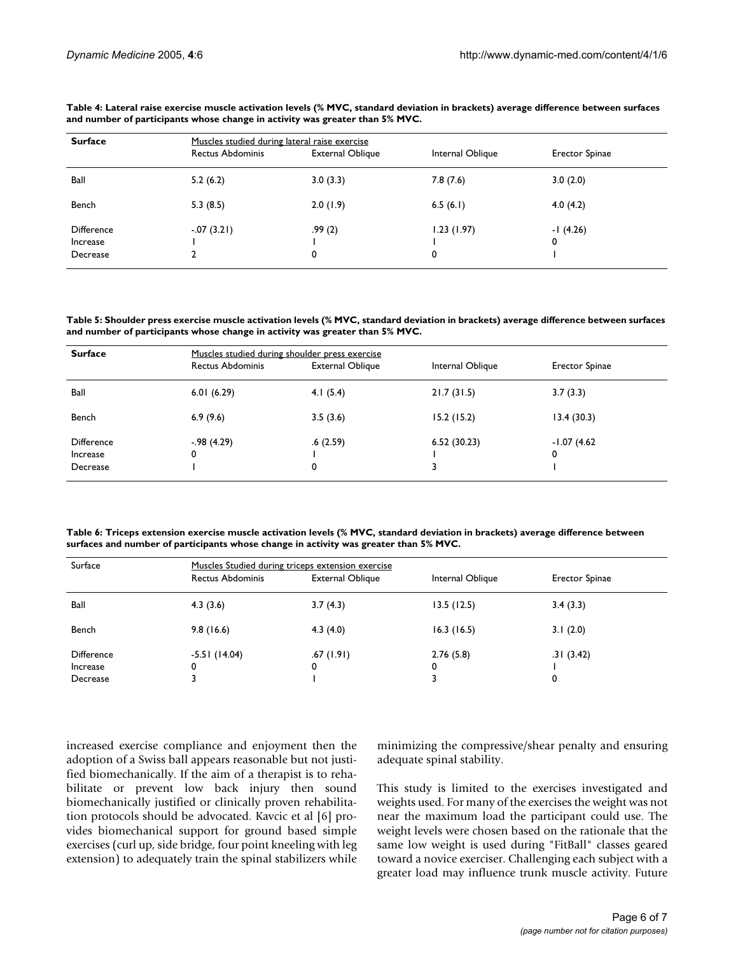| <b>Surface</b>         | Muscles studied during lateral raise exercise |                         |                  |                       |  |
|------------------------|-----------------------------------------------|-------------------------|------------------|-----------------------|--|
|                        | <b>Rectus Abdominis</b>                       | <b>External Oblique</b> | Internal Oblique | <b>Erector Spinae</b> |  |
| Ball                   | 5.2(6.2)                                      | 3.0(3.3)                | 7.8(7.6)         | 3.0(2.0)              |  |
| Bench                  | 5.3(8.5)                                      | 2.0(1.9)                | 6.5(6.1)         | 4.0(4.2)              |  |
| Difference<br>Increase | $-.07(3.21)$                                  | .99(2)                  | 1.23(1.97)       | $-1(4.26)$<br>0       |  |
| Decrease               |                                               | 0                       | 0                |                       |  |

**Table 4: Lateral raise exercise muscle activation levels (% MVC, standard deviation in brackets) average difference between surfaces and number of participants whose change in activity was greater than 5% MVC.**

**Table 5: Shoulder press exercise muscle activation levels (% MVC, standard deviation in brackets) average difference between surfaces and number of participants whose change in activity was greater than 5% MVC.**

| <b>Surface</b>                            | Muscles studied during shoulder press exercise |                         |                  |                    |
|-------------------------------------------|------------------------------------------------|-------------------------|------------------|--------------------|
|                                           | <b>Rectus Abdominis</b>                        | <b>External Oblique</b> | Internal Oblique | Erector Spinae     |
| Ball                                      | 6.01(6.29)                                     | 4.1 $(5.4)$             | 21.7(31.5)       | 3.7(3.3)           |
| Bench                                     | 6.9(9.6)                                       | 3.5(3.6)                | 15.2(15.2)       | 13.4(30.3)         |
| <b>Difference</b><br>Increase<br>Decrease | $-.98(4.29)$<br>0                              | .6(2.59)<br>0           | 6.52(30.23)      | $-1.07(4.62)$<br>0 |

**Table 6: Triceps extension exercise muscle activation levels (% MVC, standard deviation in brackets) average difference between surfaces and number of participants whose change in activity was greater than 5% MVC.**

| Surface                                   | Muscles Studied during triceps extension exercise |                         |                  |                       |
|-------------------------------------------|---------------------------------------------------|-------------------------|------------------|-----------------------|
|                                           | <b>Rectus Abdominis</b>                           | <b>External Oblique</b> | Internal Oblique | <b>Erector Spinae</b> |
| Ball                                      | 4.3(3.6)                                          | 3.7(4.3)                | 13.5(12.5)       | 3.4(3.3)              |
| Bench                                     | 9.8(16.6)                                         | 4.3(4.0)                | 16.3(16.5)       | 3.1(2.0)              |
| <b>Difference</b><br>Increase<br>Decrease | $-5.51(14.04)$<br>0                               | .67(1.91)<br>0          | 2.76(5.8)<br>0   | .31(3.42)<br>0        |

increased exercise compliance and enjoyment then the adoption of a Swiss ball appears reasonable but not justified biomechanically. If the aim of a therapist is to rehabilitate or prevent low back injury then sound biomechanically justified or clinically proven rehabilitation protocols should be advocated. Kavcic et al [6] provides biomechanical support for ground based simple exercises (curl up, side bridge, four point kneeling with leg extension) to adequately train the spinal stabilizers while minimizing the compressive/shear penalty and ensuring adequate spinal stability.

This study is limited to the exercises investigated and weights used. For many of the exercises the weight was not near the maximum load the participant could use. The weight levels were chosen based on the rationale that the same low weight is used during "FitBall" classes geared toward a novice exerciser. Challenging each subject with a greater load may influence trunk muscle activity. Future